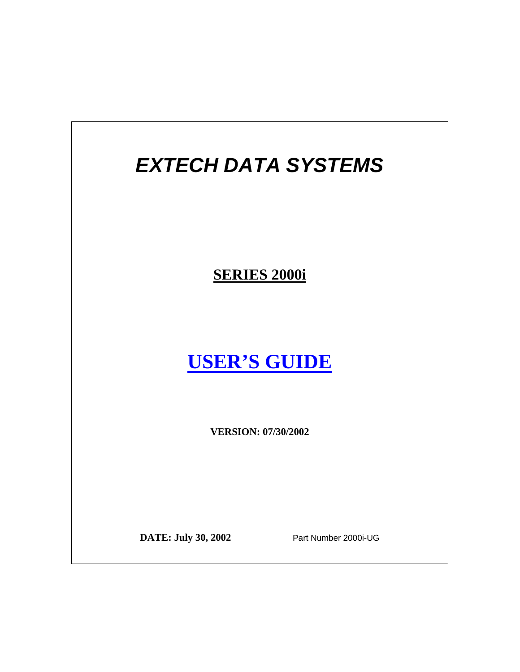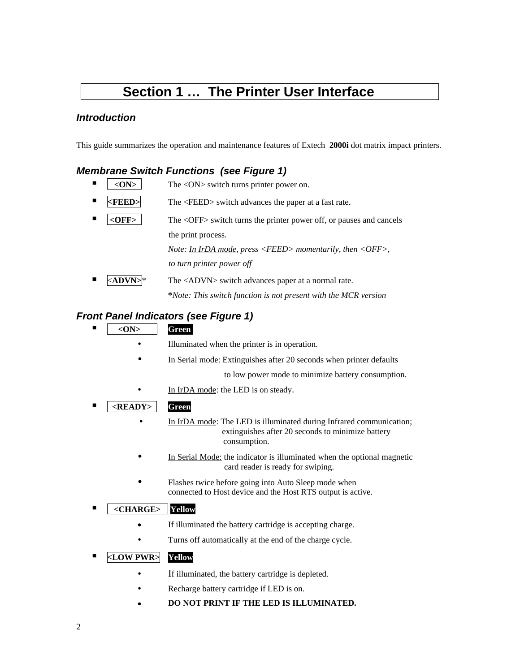### **Section 1 ... The Printer User Interface**

#### *Introduction*

This guide summarizes the operation and maintenance features of Extech **2000i** dot matrix impact printers.

#### *Membrane Switch Functions (see Figure 1)*

- $\blacksquare$  <ON>  $\blacksquare$  <ON> Switch turns printer power on. **FEED**> The <FEED> switch advances the paper at a fast rate. **<OFF>** The <OFF> switch turns the printer power off, or pauses and cancels the print process. *Note: In IrDA mode, press <FEED> momentarily, then <OFF>*,  *to turn printer power off*   $\angle ADVN$   $*$  The  $\angle ADVN$  switch advances paper at a normal rate.
	-

 **\****Note: This switch function is not present with the MCR version*

#### *Front Panel Indicators (see Figure 1)*

- **<ON> Green** 
	- Illuminated when the printer is in operation.
	- In Serial mode: Extinguishes after 20 seconds when printer defaults

to low power mode to minimize battery consumption.

- In IrDA mode: the LED is on steady.
- **<READY> Green**
	- In IrDA mode: The LED is illuminated during Infrared communication; extinguishes after 20 seconds to minimize battery consumption.
	- In Serial Mode: the indicator is illuminated when the optional magnetic card reader is ready for swiping.
	- Flashes twice before going into Auto Sleep mode when connected to Host device and the Host RTS output is active.

#### **<CHARGE> Yellow**

- If illuminated the battery cartridge is accepting charge.
- Turns off automatically at the end of the charge cycle.

#### **<LOW PWR> Yellow**

- If illuminated, the battery cartridge is depleted.
- Recharge battery cartridge if LED is on.
- <sup>z</sup> **DO NOT PRINT IF THE LED IS ILLUMINATED.**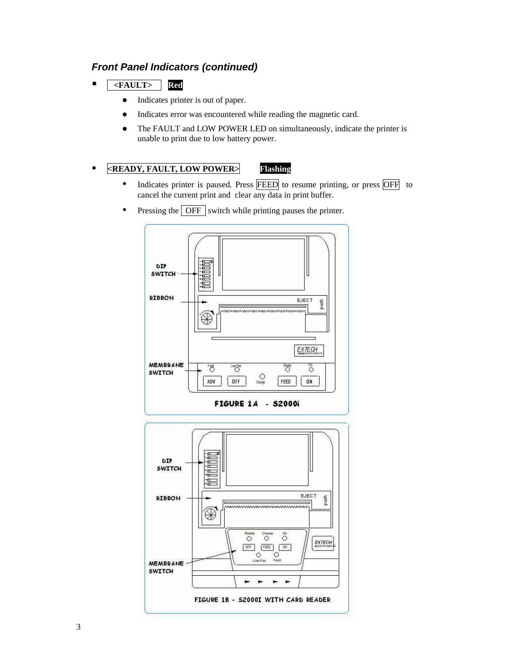#### *Front Panel Indicators (continued)*

- **<FAULT> Red**
	- Indicates printer is out of paper.
	- Indicates error was encountered while reading the magnetic card.
	- The FAULT and LOW POWER LED on simultaneously, indicate the printer is unable to print due to low battery power.

#### **<READY, FAULT, LOW POWER> Flashing**

- Indicates printer is paused. Press FEED to resume printing, or press OFF to cancel the current print and clear any data in print buffer.
- $\bullet$  Pressing the  $\overline{OFF}$  switch while printing pauses the printer.

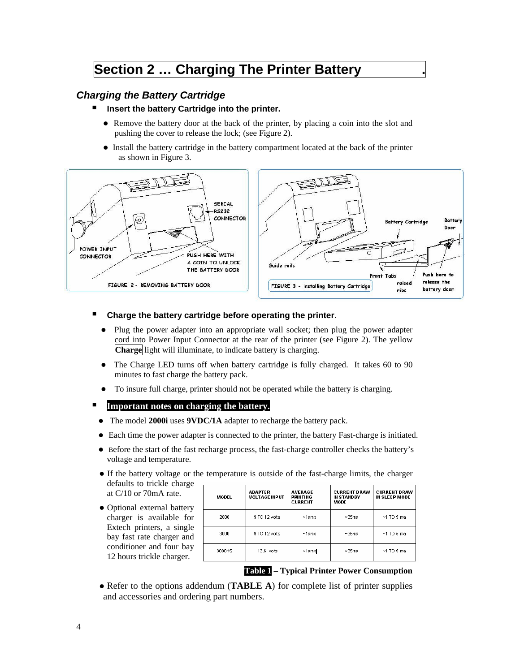### **Section 2 ... Charging The Printer Battery**

#### *Charging the Battery Cartridge*

- Insert the battery Cartridge into the printer.
	- Remove the battery door at the back of the printer, by placing a coin into the slot and pushing the cover to release the lock; (see Figure 2).
	- Install the battery cartridge in the battery compartment located at the back of the printer as shown in Figure 3.



#### **Charge the battery cartridge before operating the printer**.

- Plug the power adapter into an appropriate wall socket; then plug the power adapter cord into Power Input Connector at the rear of the printer (see Figure 2). The yellow **Charge** light will illuminate, to indicate battery is charging.
- The Charge LED turns off when battery cartridge is fully charged. It takes 60 to 90 minutes to fast charge the battery pack.
- To insure full charge, printer should not be operated while the battery is charging.

#### **Important notes on charging the battery.**

- The model **2000i** uses **9VDC/1A** adapter to recharge the battery pack.
- Each time the power adapter is connected to the printer, the battery Fast-charge is initiated.
- Before the start of the fast recharge process, the fast-charge controller checks the battery's voltage and temperature.
- If the battery voltage or the temperature is outside of the fast-charge limits, the charger defaults to trickle charge
- Optional external battery charger is available for Extech printers, a single bay fast rate charger and conditioner and four bay 12 hours trickle charger.

at C/10 or 70mA rate.

| £.<br>J | MODEL  | <b>ADAPTER</b><br><b>VOLTAGE INPUT</b> | <b>AVERAGE</b><br>PRINTING<br><b>CURRENT</b> | <b>CURRENT DRAW</b><br>IN STANDBY<br><b>MODE</b> | <b>CURRENT DRAW</b><br><b>IN SLEEP MODE</b> |
|---------|--------|----------------------------------------|----------------------------------------------|--------------------------------------------------|---------------------------------------------|
| r       | 2000   | 9 TO 12 volts                          | ~1 amp                                       | ~35ma                                            | ~ 1 TO 5 m a                                |
| e.<br>ł | 3000   | 9 TO 12 volts                          | ~1 amp                                       | ~35ma                                            | ~ 1 TO 5 m a                                |
| J       | 3000HS | 13.6 volts                             | ~1 amp                                       | ~35 <sub>ma</sub>                                | $~1$ TO 5 ma                                |

#### **Table 1 – Typical Printer Power Consumption**

• Refer to the options addendum (**TABLE A**) for complete list of printer supplies and accessories and ordering part numbers.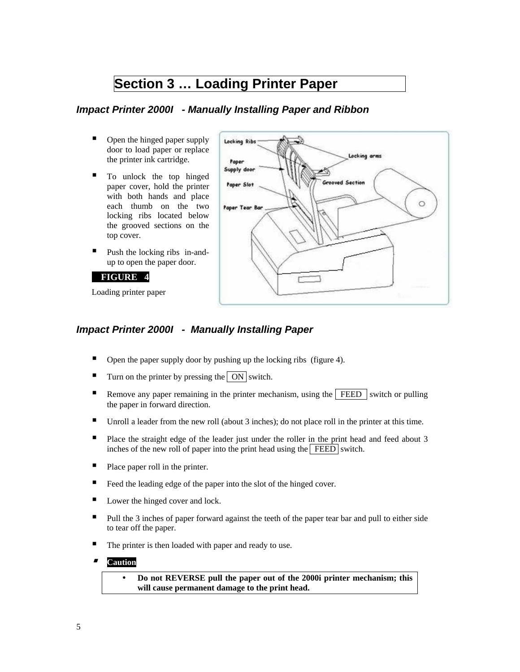### **Section 3 ... Loading Printer Paper**

#### *Impact Printer 2000I - Manually Installing Paper and Ribbon*

- Open the hinged paper supply door to load paper or replace the printer ink cartridge.
- $\blacksquare$  To unlock the top hinged paper cover, hold the printer with both hands and place each thumb on the two locking ribs located below the grooved sections on the top cover.
- Push the locking ribs in-andup to open the paper door.

#### **FIGURE 4**

Loading printer paper



#### *Impact Printer 2000I - Manually Installing Paper*

- Open the paper supply door by pushing up the locking ribs (figure 4).
- Turn on the printer by pressing the  $\vert$  ON switch.
- Remove any paper remaining in the printer mechanism, using the  $\sqrt{\text{FEED}}$  switch or pulling the paper in forward direction.
- $\blacksquare$  Unroll a leader from the new roll (about 3 inches); do not place roll in the printer at this time.
- Place the straight edge of the leader just under the roller in the print head and feed about 3 inches of the new roll of paper into the print head using the  $\sqrt{\text{FEED}}$  switch.
- Place paper roll in the printer.
- Feed the leading edge of the paper into the slot of the hinged cover.
- Lower the hinged cover and lock.
- **Pull the 3 inches of paper forward against the teeth of the paper tear bar and pull to either side** to tear off the paper.
- The printer is then loaded with paper and ready to use.
- **Caution**

Do not REVERSE pull the paper out of the 2000i printer mechanism; this **will cause permanent damage to the print head.**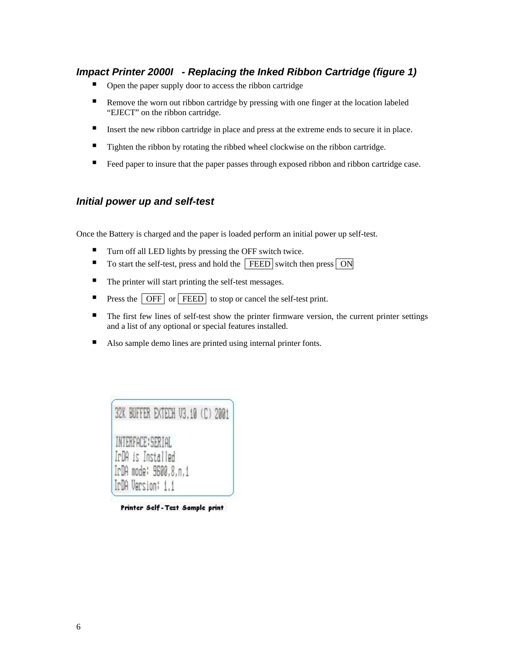#### *Impact Printer 2000I - Replacing the Inked Ribbon Cartridge (figure 1)*

- Open the paper supply door to access the ribbon cartridge
- Remove the worn out ribbon cartridge by pressing with one finger at the location labeled "EJECT" on the ribbon cartridge.
- Insert the new ribbon cartridge in place and press at the extreme ends to secure it in place.
- Tighten the ribbon by rotating the ribbed wheel clockwise on the ribbon cartridge.
- Feed paper to insure that the paper passes through exposed ribbon and ribbon cartridge case.

#### *Initial power up and self-test*

Once the Battery is charged and the paper is loaded perform an initial power up self-test.

- Turn off all LED lights by pressing the OFF switch twice.
- $\blacksquare$  To start the self-test, press and hold the FEED switch then press  $\boxed{ON}$
- The printer will start printing the self-test messages.
- **Press the OFF** or **FEED** to stop or cancel the self-test print.
- The first few lines of self-test show the printer firmware version, the current printer settings and a list of any optional or special features installed.
- Also sample demo lines are printed using internal printer fonts.

| 32K BUFFER EXTECH V3.10 (C) 2001                                                     |  |  |
|--------------------------------------------------------------------------------------|--|--|
| INTERFACE: SERIAL<br>IrDA is Installed<br>IrDA mode: 9600,8,n,1<br>IrDA Version: 1.1 |  |  |

Printer Self-Test Sample print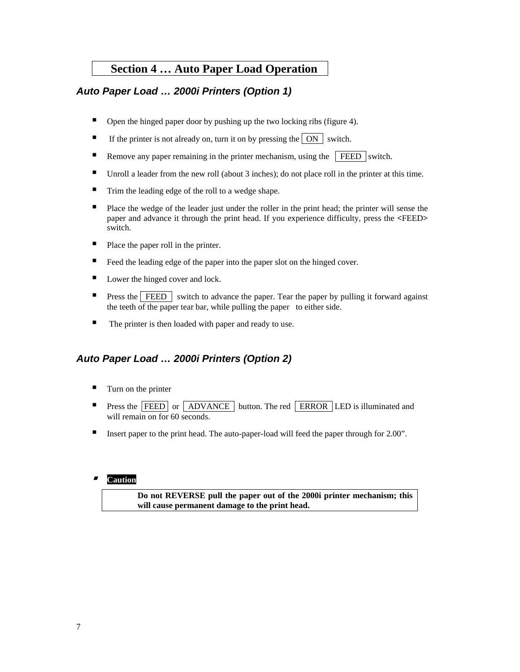### **Section 4 ... Auto Paper Load Operation**

#### *Auto Paper Load … 2000i Printers (Option 1)*

- Open the hinged paper door by pushing up the two locking ribs (figure 4).
- If the printer is not already on, turn it on by pressing the  $\boxed{ON}$  switch.
- Remove any paper remaining in the printer mechanism, using the  $\sqrt{\text{FEED}}$  switch.
- **Unroll a leader from the new roll (about 3 inches); do not place roll in the printer at this time.**
- Trim the leading edge of the roll to a wedge shape.
- Place the wedge of the leader just under the roller in the print head; the printer will sense the paper and advance it through the print head. If you experience difficulty, press the **<**FEED**>** switch.
- Place the paper roll in the printer.
- Feed the leading edge of the paper into the paper slot on the hinged cover.
- Lower the hinged cover and lock.
- **Press the FEED** switch to advance the paper. Tear the paper by pulling it forward against the teeth of the paper tear bar, while pulling the paper to either side.
- The printer is then loaded with paper and ready to use.

#### *Auto Paper Load … 2000i Printers (Option 2)*

- $\blacksquare$  Turn on the printer
- **Press the FEED** or ADVANCE button. The red ERROR LED is illuminated and will remain on for 60 seconds.
- Insert paper to the print head. The auto-paper-load will feed the paper through for 2.00".

#### ■ **Caution**

 **Do not REVERSE pull the paper out of the 2000i printer mechanism; this will cause permanent damage to the print head.**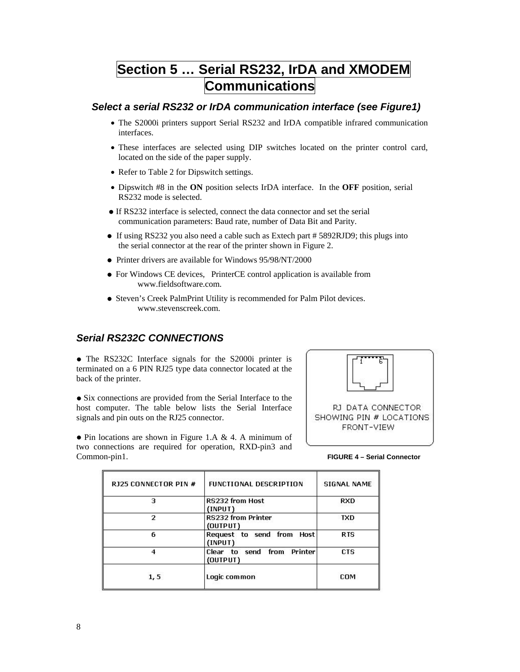### **Section 5 … Serial RS232, IrDA and XMODEM Communications**

#### *Select a serial RS232 or IrDA communication interface (see Figure1)*

- The S2000i printers support Serial RS232 and IrDA compatible infrared communication interfaces.
- These interfaces are selected using DIP switches located on the printer control card, located on the side of the paper supply.
- Refer to Table 2 for Dipswitch settings.
- Dipswitch #8 in the **ON** position selects IrDA interface. In the **OFF** position, serial RS232 mode is selected.
- If RS232 interface is selected, connect the data connector and set the serial communication parameters: Baud rate, number of Data Bit and Parity.
- If using RS232 you also need a cable such as Extech part # 5892RJD9; this plugs into the serial connector at the rear of the printer shown in Figure 2.
- Printer drivers are available for Windows 95/98/NT/2000
- For Windows CE devices, PrinterCE control application is available from www.fieldsoftware.com.
- **Steven's Creek PalmPrint Utility is recommended for Palm Pilot devices.** www.stevenscreek.com.

#### *Serial RS232C CONNECTIONS*

• The RS232C Interface signals for the S2000i printer is terminated on a 6 PIN RJ25 type data connector located at the back of the printer.

• Six connections are provided from the Serial Interface to the host computer. The table below lists the Serial Interface signals and pin outs on the RJ25 connector.



SHOWING PIN # LOCATIONS FRONT-VIEW

 $\bullet$  Pin locations are shown in Figure 1.A & 4. A minimum of two connections are required for operation, RXD-pin3 and Common-pin1. **FIGURE 4 – Serial Connector** 

| R125 CONNECTOR PIN # | <b>FUNCTIONAL DESCRIPTION</b>                  | <b>SIGNAL NAME</b> |
|----------------------|------------------------------------------------|--------------------|
| з                    | <b>RS232 from Host</b><br>(INPUT)              | RXD                |
| 2                    | RS232 from Printer<br>(OUTPUT)                 | <b>TXD</b>         |
| 6                    | Request to send from<br><b>Host</b><br>(INPUT) | <b>RTS</b>         |
| 4                    | Printer<br>Clear to send from<br>(OUTPUT)      | CTS                |
| 1, 5                 | Logic common                                   | COM                |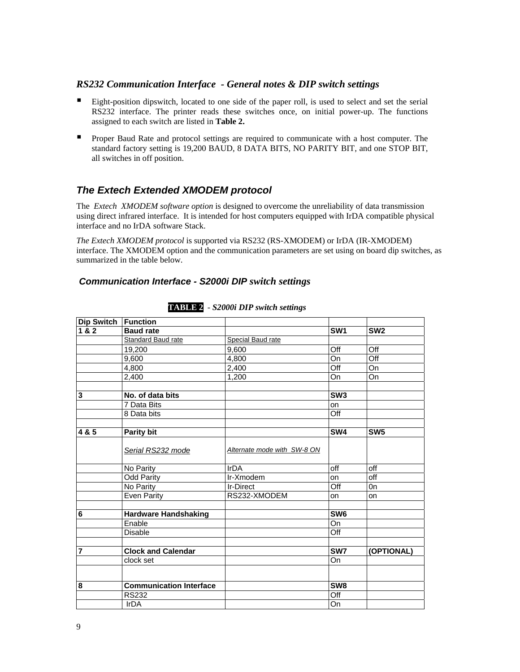#### *RS232 Communication Interface - General notes & DIP switch settings*

- Eight-position dipswitch, located to one side of the paper roll, is used to select and set the serial RS232 interface. The printer reads these switches once, on initial power-up. The functions assigned to each switch are listed in **Table 2.**
- **Proper Baud Rate and protocol settings are required to communicate with a host computer. The** standard factory setting is 19,200 BAUD, 8 DATA BITS, NO PARITY BIT, and one STOP BIT, all switches in off position.

#### *The Extech Extended XMODEM protocol*

The *Extech XMODEM software option* is designed to overcome the unreliability of data transmission using direct infrared interface. It is intended for host computers equipped with IrDA compatible physical interface and no IrDA software Stack.

*The Extech XMODEM protocol* is supported via RS232 (RS-XMODEM) or IrDA (IR-XMODEM) interface. The XMODEM option and the communication parameters are set using on board dip switches, as summarized in the table below.

#### *Communication Interface - S2000i DIP switch settings*

| Dip Switch   Function       |                                                                                  |                 |                                     |
|-----------------------------|----------------------------------------------------------------------------------|-----------------|-------------------------------------|
| <b>Baud rate</b>            |                                                                                  | SW <sub>1</sub> | SW <sub>2</sub>                     |
| Standard Baud rate          | Special Baud rate                                                                |                 |                                     |
| 19,200                      | 9,600                                                                            | Off             | Off                                 |
| 9,600                       | 4,800                                                                            | On              | Off                                 |
| 4,800                       | 2,400                                                                            | Off             | On                                  |
| 2,400                       | 1,200                                                                            | On              | On                                  |
|                             |                                                                                  |                 |                                     |
| 7 Data Bits                 |                                                                                  |                 |                                     |
| 8 Data bits                 |                                                                                  | Off             |                                     |
|                             |                                                                                  | SW4             | SW <sub>5</sub>                     |
| Serial RS232 mode           | Alternate mode with SW-8 ON                                                      |                 |                                     |
| No Parity                   | <b>IrDA</b>                                                                      | off             | off                                 |
| <b>Odd Parity</b>           | Ir-Xmodem                                                                        | on              | off                                 |
| No Parity                   | <b>Ir-Direct</b>                                                                 | Off             | 0n                                  |
| <b>Even Parity</b>          | RS232-XMODEM                                                                     | <b>on</b>       | on                                  |
| <b>Hardware Handshaking</b> |                                                                                  | SW <sub>6</sub> |                                     |
| Enable                      |                                                                                  | On              |                                     |
| Disable                     |                                                                                  | Off             |                                     |
| <b>Clock and Calendar</b>   |                                                                                  | SW7             | (OPTIONAL)                          |
| clock set                   |                                                                                  | On              |                                     |
|                             |                                                                                  |                 |                                     |
|                             |                                                                                  |                 |                                     |
| IrDA                        |                                                                                  | On              |                                     |
|                             | No. of data bits<br>Parity bit<br><b>Communication Interface</b><br><b>RS232</b> |                 | SW3<br>on<br>SW <sub>8</sub><br>Off |

**TABLE 2** *- S2000i DIP switch settings*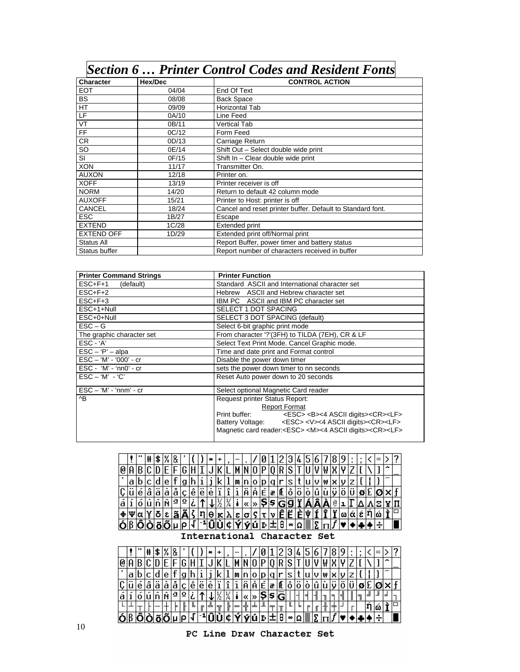### *Section 6 … Printer Control Codes and Resident Fonts*

| <b>Character</b>         | Hex/Dec | <b>CONTROL ACTION</b>                                      |
|--------------------------|---------|------------------------------------------------------------|
| <b>EOT</b>               | 04/04   | End Of Text                                                |
| <b>BS</b>                | 08/08   | <b>Back Space</b>                                          |
| HT                       | 09/09   | <b>Horizontal Tab</b>                                      |
| LF                       | 0A/10   | Line Feed                                                  |
| $\overline{\mathsf{VT}}$ | 0B/11   | <b>Vertical Tab</b>                                        |
| FF                       | OC/12   | Form Feed                                                  |
| CR                       | 0D/13   | Carriage Return                                            |
| SO                       | 0E/14   | Shift Out - Select double wide print                       |
| $\overline{\mathsf{S}}$  | 0F/15   | Shift In - Clear double wide print                         |
| <b>XON</b>               | 11/17   | Transmitter On.                                            |
| <b>AUXON</b>             | 12/18   | Printer on.                                                |
| <b>XOFF</b>              | 13/19   | Printer receiver is off                                    |
| <b>NORM</b>              | 14/20   | Return to default 42 column mode                           |
| <b>AUXOFF</b>            | 15/21   | Printer to Host: printer is off                            |
| <b>CANCEL</b>            | 18/24   | Cancel and reset printer buffer. Default to Standard font. |
| <b>ESC</b>               | 1B/27   | Escape                                                     |
| <b>EXTEND</b>            | 1C/28   | Extended print                                             |
| <b>EXTEND OFF</b>        | 1D/29   | Extended print off/Normal print                            |
| Status All               |         | Report Buffer, power timer and battery status              |
| Status buffer            |         | Report number of characters received in buffer             |

| <b>Printer Command Strings</b>                             | <b>Printer Function</b>                                                                                                                                                                                                                                                                                  |
|------------------------------------------------------------|----------------------------------------------------------------------------------------------------------------------------------------------------------------------------------------------------------------------------------------------------------------------------------------------------------|
| ESC+F+1 (default)                                          | Standard ASCII and International character set                                                                                                                                                                                                                                                           |
| $ESC + F + 2$                                              | Hebrew ASCII and Hebrew character set                                                                                                                                                                                                                                                                    |
| $ESC + F + 3$                                              | IBM PC ASCII and IBM PC character set                                                                                                                                                                                                                                                                    |
| ESC+1+Null                                                 | <b>SELECT 1 DOT SPACING</b>                                                                                                                                                                                                                                                                              |
| ESC+0+Null                                                 | SELECT 3 DOT SPACING (default)                                                                                                                                                                                                                                                                           |
| $\mathsf{ESC} - \mathsf{G}$                                | Select 6-bit graphic print mode                                                                                                                                                                                                                                                                          |
| The graphic character set                                  | From character '?'(3FH) to TILDA (7EH), CR & LF                                                                                                                                                                                                                                                          |
| $\mathsf{ESC} - A'$                                        | Select Text Print Mode. Cancel Graphic mode.                                                                                                                                                                                                                                                             |
| $\textsf{ESC} - \textsf{P'} - \textsf{alba}$               | Time and date print and Format control                                                                                                                                                                                                                                                                   |
| $\text{ESC} - 'M' - '000' - cr$                            | Disable the power down timer                                                                                                                                                                                                                                                                             |
| $\textsf{ESC - 'M' - 'nn0' - cr}$                          | sets the power down timer to nn seconds                                                                                                                                                                                                                                                                  |
| $\mathsf{ESC} - 'M' - 'C'$                                 | Reset Auto power down to 20 seconds                                                                                                                                                                                                                                                                      |
| $\textsf{ESC} - \textsf{M}' - \textsf{nnm}' - \textsf{cr}$ | Select optional Magnetic Card reader                                                                                                                                                                                                                                                                     |
| ^B                                                         | Request printer Status Report:<br><b>Report Format</b><br>Print buffer: <esc> <b>&lt;4 ASCII digits&gt;<cr><lf><br/>Battery Voltage: <esc> <v>&lt;4 ASCII digits&gt;<cr><lf><br/>Magnetic card reader:<esc><m>&lt;4 ASCII digits&gt;<cr><lf></lf></cr></m></esc></lf></cr></v></esc></lf></cr></b></esc> |



International Character Set

|         |    |   | Þ.    |                         |           |    |      |                |   |                   |                       |         |               |    |               | J      | 4                                                       |   |    |   |            |      |  |    |  |
|---------|----|---|-------|-------------------------|-----------|----|------|----------------|---|-------------------|-----------------------|---------|---------------|----|---------------|--------|---------------------------------------------------------|---|----|---|------------|------|--|----|--|
| Q       |    |   |       |                         |           |    |      |                |   |                   |                       |         |               |    |               |        |                                                         |   |    |   |            |      |  |    |  |
|         | la |   |       |                         |           |    |      |                |   |                   |                       |         |               |    |               |        |                                                         |   |    | ₩ | IX I       |      |  |    |  |
| ົ<br>Ų. |    | е | <br>а | ١a                      | $\bullet$ |    | elel |                | е |                   | $\tilde{\phantom{a}}$ | l<br>lA | Е.            | læ | IIL I         | *<br>0 | $\begin{array}{ccc} 1 & 0 & 1 \\ 0 & 1 & 1 \end{array}$ |   |    |   | . <b>.</b> | <br> |  |    |  |
| а       |    |   |       | $ \tilde{n}  \tilde{N}$ | ₫         | ιΩ |      |                |   |                   |                       |         | $ 8 $ 5 $ 5 $ |    | lG'           |        |                                                         |   |    |   |            |      |  |    |  |
|         |    |   |       |                         |           |    |      |                |   | $ \overline{r}$ . |                       |         |               |    |               |        |                                                         |   |    |   |            |      |  | ۱ω |  |
| ól      | o  |   |       | Ô∣Ò∣õ∣Õ                 |           |    |      | بالدراث المباد |   |                   | ₩                     |         |               |    | ý ú þ ± θ ∞ Ω |        |                                                         | B | п. |   |            |      |  |    |  |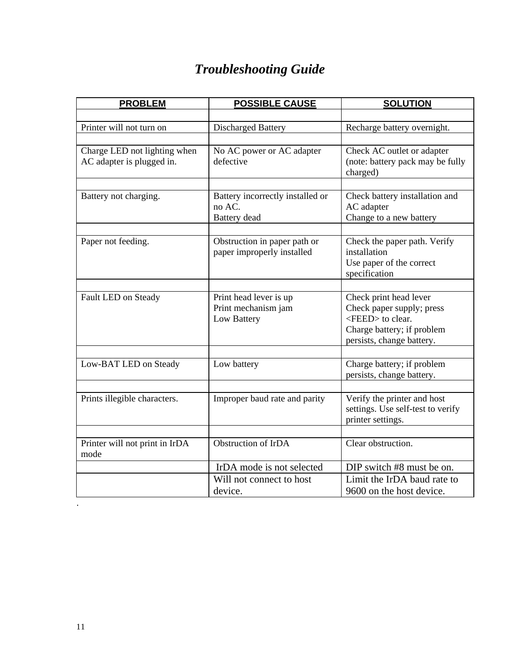# *Troubleshooting Guide*

| (note: battery pack may be fully                            |
|-------------------------------------------------------------|
|                                                             |
|                                                             |
|                                                             |
|                                                             |
|                                                             |
|                                                             |
|                                                             |
|                                                             |
|                                                             |
|                                                             |
| Check the paper path. Verify                                |
|                                                             |
|                                                             |
|                                                             |
|                                                             |
|                                                             |
|                                                             |
|                                                             |
|                                                             |
|                                                             |
|                                                             |
|                                                             |
|                                                             |
|                                                             |
| settings. Use self-test to verify                           |
|                                                             |
|                                                             |
|                                                             |
|                                                             |
| Limit the IrDA baud rate to                                 |
|                                                             |
| Check battery installation and<br>DIP switch #8 must be on. |

.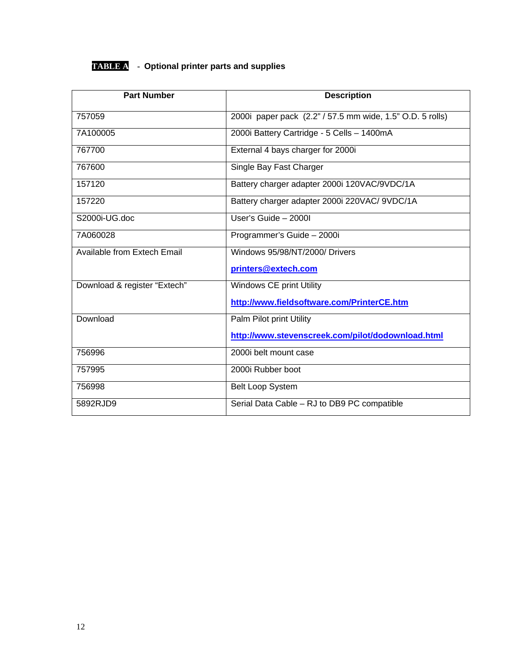### **TABLE A - Optional printer parts and supplies**

| <b>Part Number</b>           | <b>Description</b>                                        |
|------------------------------|-----------------------------------------------------------|
| 757059                       | 2000i paper pack (2.2" / 57.5 mm wide, 1.5" O.D. 5 rolls) |
| 7A100005                     | 2000i Battery Cartridge - 5 Cells - 1400mA                |
| 767700                       | External 4 bays charger for 2000i                         |
| 767600                       | Single Bay Fast Charger                                   |
| 157120                       | Battery charger adapter 2000i 120VAC/9VDC/1A              |
| 157220                       | Battery charger adapter 2000i 220VAC/ 9VDC/1A             |
| S2000i-UG.doc                | User's Guide $-20001$                                     |
| 7A060028                     | Programmer's Guide - 2000i                                |
| Available from Extech Email  | Windows 95/98/NT/2000/ Drivers                            |
|                              | printers@extech.com                                       |
| Download & register "Extech" | Windows CE print Utility                                  |
|                              | http://www.fieldsoftware.com/PrinterCE.htm                |
| Download                     | Palm Pilot print Utility                                  |
|                              | http://www.stevenscreek.com/pilot/dodownload.html         |
| 756996                       | 2000i belt mount case                                     |
| 757995                       | 2000i Rubber boot                                         |
| 756998                       | <b>Belt Loop System</b>                                   |
| 5892RJD9                     | Serial Data Cable - RJ to DB9 PC compatible               |